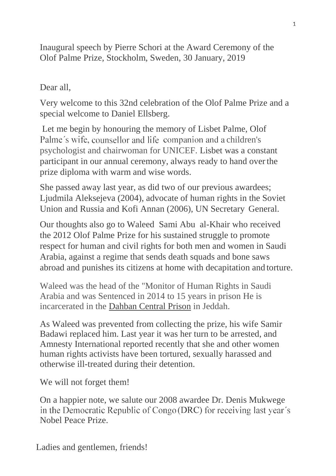Inaugural speech by Pierre Schori at the Award Ceremony of the Olof Palme Prize, Stockholm, Sweden, 30 January, 2019

## Dear all,

Very welcome to this 32nd celebration of the Olof Palme Prize and a special welcome to Daniel Ellsberg.

Let me begin by honouring the memory of Lisbet Palme, Olof Palme's wife, counsellor and life companion and a children's psychologist and chairwoman for UNICEF. Lisbet was a constant participant in our annual ceremony, always ready to hand overthe prize diploma with warm and wise words.

She passed away last year, as did two of our previous awardees; Ljudmila Aleksejeva (2004), advocate of human rights in the Soviet Union and Russia and Kofi Annan (2006), UN Secretary General.

Our thoughts also go to Waleed Sami Abu al-Khair who received the 2012 Olof Palme Prize for his sustained struggle to promote respect for human and civil rights for both men and women in Saudi Arabia, against a regime that sends death squads and bone saws abroad and punishes its citizens at home with decapitation and torture.

Waleed was the head of the "Monitor of Human Rights in Saudi Arabia and was Sentenced in 2014 to 15 years in prison He is incarcerated in the Dahban Central Prison in Jeddah.

As Waleed was prevented from collecting the prize, his wife Samir Badawi replaced him. Last year it was her turn to be arrested, and Amnesty International reported recently that she and other women human rights activists have been tortured, sexually harassed and otherwise ill-treated during their detention.

We will not forget them!

On a happier note, we salute our 2008 awardee Dr. Denis Mukwege in the Democratic Republic of Congo (DRC) for receiving last year's Nobel Peace Prize.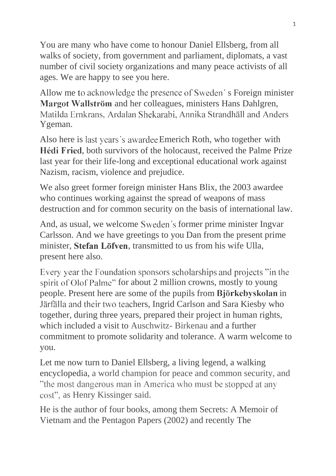You are many who have come to honour Daniel Ellsberg, from all walks of society, from government and parliament, diplomats, a vast number of civil society organizations and many peace activists of all ages. We are happy to see you here.

Allow me to acknowledge the presence of Sweden's Foreign minister Margot Wallström and her colleagues, ministers Hans Dahlgren, Matilda Ernkrans, Ardalan Shekarabi, Annika Strandhäll and Anders Ygeman.

Also here is last years's awardee Emerich Roth, who together with Hédi Fried, both survivors of the holocaust, received the Palme Prize last year for their life-long and exceptional educational work against Nazism, racism, violence and prejudice.

We also greet former foreign minister Hans Blix, the 2003 awardee who continues working against the spread of weapons of mass destruction and for common security on the basis of international law.

And, as usual, we welcome Sweden's former prime minister Ingvar Carlsson. And we have greetings to you Dan from the present prime minister, Stefan Löfven, transmitted to us from his wife Ulla, present here also.

Every year the Foundation sponsors scholarships and projects "in the spirit of Olof Palme" for about 2 million crowns, mostly to young people. Present here are some of the pupils from Björkebyskolan in Järfälla and their two teachers, Ingrid Carlson and Sara Kiesby who together, during three years, prepared their project in human rights, which included a visit to Auschwitz- Birkenau and a further commitment to promote solidarity and tolerance. A warm welcome to you.

Let me now turn to Daniel Ellsberg, a living legend, a walking encyclopedia, a world champion for peace and common security, and "the most dangerous man in America who must be stopped at any cost", as Henry Kissinger said.

He is the author of four books, among them Secrets: A Memoir of Vietnam and the Pentagon Papers (2002) and recently The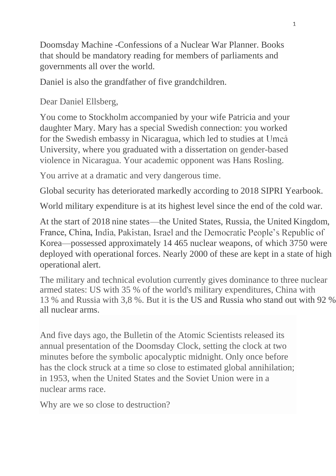Doomsday Machine -Confessions of a Nuclear War Planner. Books that should be mandatory reading for members of parliaments and governments all over the world.

Daniel is also the grandfather of five grandchildren.

Dear Daniel Ellsberg,

You come to Stockholm accompanied by your wife Patricia and your daughter Mary. Mary has a special Swedish connection: you worked for the Swedish embassy in Nicaragua, which led to studies at University, where you graduated with a dissertation on gender-based violence in Nicaragua. Your academic opponent was Hans Rosling.

You arrive at a dramatic and very dangerous time.

Global security has deteriorated markedly according to 2018 SIPRI Yearbook.

World military expenditure is at its highest level since the end of the cold war.

At the start of 2018 nine states—the United States, Russia, the United Kingdom, France, China, India, Pakistan, Israel and the Democratic People's Republic of Korea—possessed approximately 14 465 nuclear weapons, of which 3750 were deployed with operational forces. Nearly 2000 of these are kept in a state of high operational alert.

The military and technical evolution currently gives dominance to three nuclear armed states: US with 35 % of the world's military expenditures, China with 13 % and Russia with 3,8 %. But it is the US and Russia who stand out with 92 % all nuclear arms.

And five days ago, the Bulletin of the Atomic Scientists released its annual presentation of the Doomsday Clock, setting the clock at two minutes before the symbolic apocalyptic midnight. Only once before has the clock struck at a time so close to estimated global annihilation; in 1953, when the United States and the Soviet Union were in a nuclear arms race.

Why are we so close to destruction?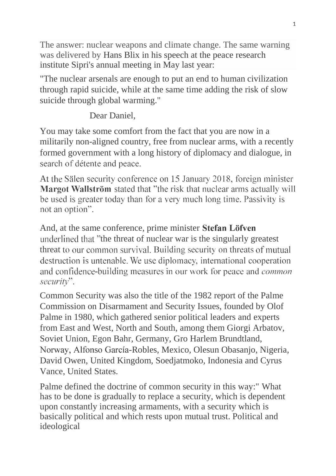The answer: nuclear weapons and climate change. The same warning was delivered by Hans Blix in his speech at the peace research institute Sipri's annual meeting in May last year:

"The nuclear arsenals are enough to put an end to human civilization through rapid suicide, while at the same time adding the risk of slow suicide through global warming."

Dear Daniel,

You may take some comfort from the fact that you are now in a militarily non-aligned country, free from nuclear arms, with a recently formed government with a long history of diplomacy and dialogue, in search of détente and peace.

At the Sälen security conference on 15 January 2018, foreign minister Margot Wallström stated that "the risk that nuclear arms actually will be used is greater today than for a very much long time. Passivity is not an option".

And, at the same conference, prime minister Stefan Löfven underlined that "the threat of nuclear war is the singularly greatest threat to our common survival. Building security on threats of mutual destruction is untenable. We use diplomacy, international cooperation and confidence-building measures in our work for peace and *common* security".

Common Security was also the title of the 1982 report of the Palme Commission on Disarmament and Security Issues, founded by Olof Palme in 1980, which gathered senior political leaders and experts from East and West, North and South, among them Giorgi Arbatov, Soviet Union, Egon Bahr, Germany, Gro Harlem Brundtland, Norway, Alfonso García-Robles, Mexico, Olesun Obasanjo, Nigeria, David Owen, United Kingdom, Soedjatmoko, Indonesia and Cyrus Vance, United States.

Palme defined the doctrine of common security in this way:" What has to be done is gradually to replace a security, which is dependent upon constantly increasing armaments, with a security which is basically political and which rests upon mutual trust. Political and ideological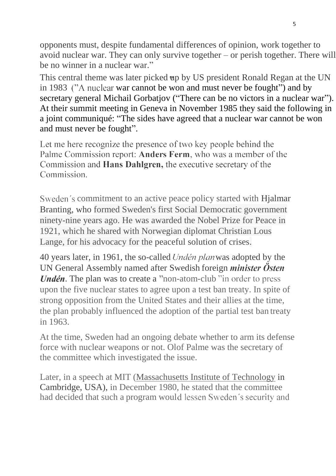opponents must, despite fundamental differences of opinion, work together to avoid nuclear war. They can only survive together – or perish together. There will be no winner in a nuclear war."

This central theme was later picked up by US president Ronald Regan at the UN in 1983 ("A nuclear war cannot be won and must never be fought") and by secretary general Michail Gorbatjov ("There can be no victors in a nuclear war"). At their summit meeting in Geneva in November 1985 they said the following in a joint communiqué: "The sides have agreed that a nuclear war cannot be won and must never be fought".

Let me here recognize the presence of two key people behind the Palme Commission report: Anders Ferm, who was a member of the Commission and **Hans Dahlgren**, the executive secretary of the Commission.

Sweden's commitment to an active peace policy started with Hjalmar Branting, who formed Sweden's first Social Democratic government ninety-nine years ago. He was awarded the Nobel Prize for Peace in 1921, which he shared with Norwegian diplomat Christian Lous Lange, for his advocacy for the peaceful solution of crises.

40 years later, in 1961, the so-called Undén plan was adopted by the UN General Assembly named after Swedish foreign *minister Östen Undén*. The plan was to create a "non-atom-club" in order to press upon the five nuclear states to agree upon a test ban treaty. In spite of strong opposition from the United States and their allies at the time, the plan probably influenced the adoption of the partial test ban treaty in 1963.

At the time, Sweden had an ongoing debate whether to arm its defense force with nuclear weapons or not. Olof Palme was the secretary of the committee which investigated the issue.

Later, in a speech at MIT (Massachusetts Institute of Technology in Cambridge, USA), in December 1980, he stated that the committee had decided that such a program would lessen Sweden's security and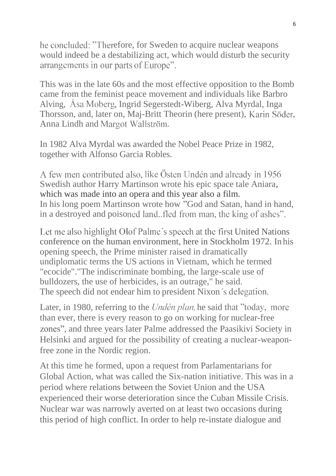he concluded: "Therefore, for Sweden to acquire nuclear weapons would indeed be a destabilizing act, which would disturb the security arrangements in our parts of Europe".

This was in the late 60s and the most effective opposition to the Bomb came from the feminist peace movement and individuals like Barbro Alving, Asa Moberg, Ingrid Segerstedt-Wiberg, Alva Myrdal, Inga Thorsson, and, later on, Maj-Britt Theorin (here present), Karin Söder, Anna Lindh and Margot Wallström.

In 1982 Alva Myrdal was awarded the Nobel Peace Prize in 1982, together with Alfonso Garcia Robles.

A few men contributed also, like Östen Undén and already in 1956 Swedish author Harry Martinson wrote his epic space tale Aniara, which was made into an opera and this year also a film. In his long poem Martinson wrote how "God and Satan, hand in hand, in a destroyed and poisoned land. fled from man, the king of ashes".

Let me also highlight Olof Palme's speech at the first United Nations conference on the human environment, here in Stockholm 1972. In his opening speech, the Prime minister raised in dramatically undiplomatic terms the US actions in Vietnam, which he termed "ecocide"."The indiscriminate bombing, the large-scale use of bulldozers, the use of herbicides, is an outrage," he said. The speech did not endear him to president Nixon's delegation.

Later, in 1980, referring to the *Undén plan*, he said that "today, more" than ever, there is every reason to go on working for nuclear-free , and three years later Palme addressed the Paasikivi Society in Helsinki and argued for the possibility of creating a nuclear-weaponfree zone in the Nordic region.

At this time he formed, upon a request from Parlamentarians for Global Action, what was called the Six-nation initiative. This was in a period where relations between the Soviet Union and the USA experienced their worse deterioration since the Cuban Missile Crisis. Nuclear war was narrowly averted on at least two occasions during this period of high conflict. In order to help re-instate dialogue and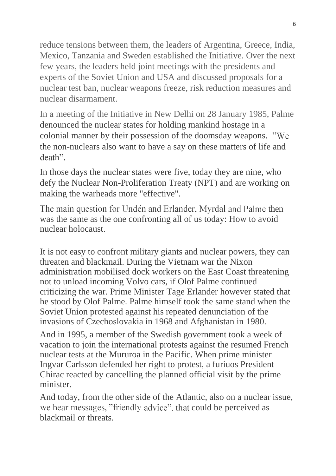reduce tensions between them, the leaders of Argentina, Greece, India, Mexico, Tanzania and Sweden established the Initiative. Over the next few years, the leaders held joint meetings with the presidents and experts of the Soviet Union and USA and discussed proposals for a nuclear test ban, nuclear weapons freeze, risk reduction measures and nuclear disarmament.

In a meeting of the Initiative in New Delhi on 28 January 1985, Palme denounced the nuclear states for holding mankind hostage in a colonial manner by their possession of the doomsday weapons. the non-nuclears also want to have a say on these matters of life and death".

In those days the nuclear states were five, today they are nine, who defy the Nuclear Non-Proliferation Treaty (NPT) and are working on making the warheads more "effective".

The main question for Undén and Erlander, Myrdal and Palme then was the same as the one confronting all of us today: How to avoid nuclear holocaust.

It is not easy to confront military giants and nuclear powers, they can threaten and blackmail. During the Vietnam war the Nixon administration mobilised dock workers on the East Coast threatening not to unload incoming Volvo cars, if Olof Palme continued criticizing the war. Prime Minister Tage Erlander however stated that he stood by Olof Palme. Palme himself took the same stand when the Soviet Union protested against his repeated denunciation of the invasions of Czechoslovakia in 1968 and Afghanistan in 1980.

And in 1995, a member of the Swedish government took a week of vacation to join the international protests against the resumed French nuclear tests at the Mururoa in the Pacific. When prime minister Ingvar Carlsson defended her right to protest, a furiuos President Chirac reacted by cancelling the planned official visit by the prime minister.

And today, from the other side of the Atlantic, also on a nuclear issue, we hear messages, "friendly advice" that could be perceived as blackmail or threats.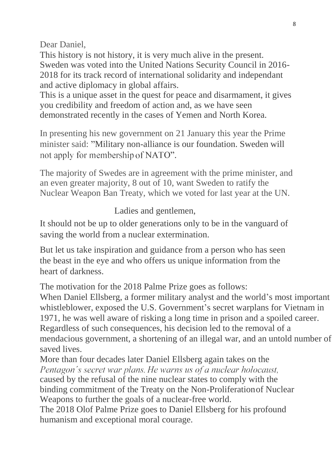Dear Daniel,

This history is not history, it is very much alive in the present. Sweden was voted into the United Nations Security Council in 2016- 2018 for its track record of international solidarity and independant and active diplomacy in global affairs.

This is a unique asset in the quest for peace and disarmament, it gives you credibility and freedom of action and, as we have seen demonstrated recently in the cases of Yemen and North Korea.

In presenting his new government on 21 January this year the Prime minister said: "Military non-alliance is our foundation. Sweden will not apply for membership of NATO".

The majority of Swedes are in agreement with the prime minister, and an even greater majority, 8 out of 10, want Sweden to ratify the Nuclear Weapon Ban Treaty, which we voted for last year at the UN.

Ladies and gentlemen,

It should not be up to older generations only to be in the vanguard of saving the world from a nuclear extermination.

But let us take inspiration and guidance from a person who has seen the beast in the eye and who offers us unique information from the heart of darkness.

The motivation for the 2018 Palme Prize goes as follows:

When Daniel Ellsberg, a former military analyst and the world's most important whistleblower, exposed the U.S. Government's secret warplans for Vietnam in 1971, he was well aware of risking a long time in prison and a spoiled career. Regardless of such consequences, his decision led to the removal of a mendacious government, a shortening of an illegal war, and an untold number of saved lives.

More than four decades later Daniel Ellsberg again takes on the Pentagon's secret war plans. He warns us of a nuclear holocaust, caused by the refusal of the nine nuclear states to comply with the binding commitment of the Treaty on the Non-Proliferationof Nuclear Weapons to further the goals of a nuclear-free world.

The 2018 Olof Palme Prize goes to Daniel Ellsberg for his profound humanism and exceptional moral courage.